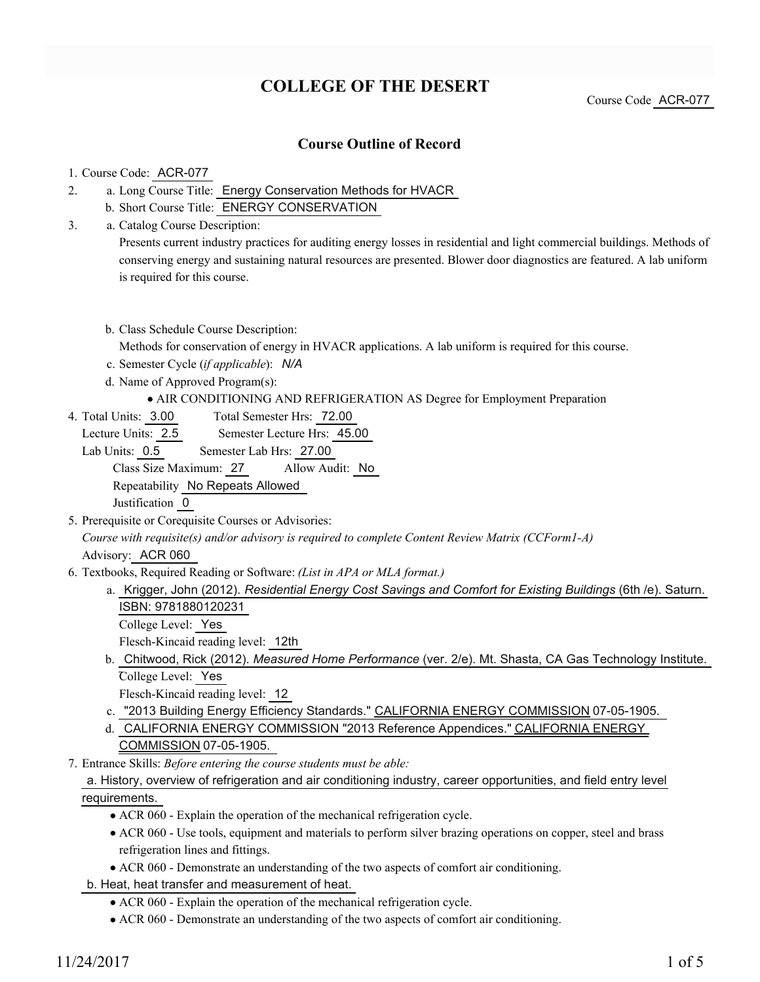# **COLLEGE OF THE DESERT**

Course Code ACR-077

### **Course Outline of Record**

#### 1. Course Code: ACR-077

3.

- a. Long Course Title: Energy Conservation Methods for HVACR 2.
	- b. Short Course Title: ENERGY CONSERVATION
	- Catalog Course Description: a. Presents current industry practices for auditing energy losses in residential and light commercial buildings. Methods of conserving energy and sustaining natural resources are presented. Blower door diagnostics are featured. A lab uniform is required for this course.

## b. Class Schedule Course Description: Methods for conservation of energy in HVACR applications. A lab uniform is required for this course.

- c. Semester Cycle (*if applicable*): *N/A*
- d. Name of Approved Program(s):

#### AIR CONDITIONING AND REFRIGERATION AS Degree for Employment Preparation

Total Semester Hrs: 72.00 4. Total Units: 3.00

Lecture Units: 2.5 Semester Lecture Hrs: 45.00

Lab Units: 0.5 Semester Lab Hrs: 27.00 Class Size Maximum: 27 Allow Audit: No Repeatability No Repeats Allowed Justification 0

5. Prerequisite or Corequisite Courses or Advisories:

*Course with requisite(s) and/or advisory is required to complete Content Review Matrix (CCForm1-A)* Advisory: ACR 060

- Textbooks, Required Reading or Software: *(List in APA or MLA format.)* 6.
	- a. Krigger, John (2012). *Residential Energy Cost Savings and Comfort for Existing Buildings* (6th /e). Saturn. ISBN: 9781880120231
		- College Level: Yes

Flesch-Kincaid reading level: 12th

- b. Chitwood, Rick (2012). Measured Home Performance (ver. 2/e). Mt. Shasta, CA Gas Technology Institute. College Level: Yes
	- Flesch-Kincaid reading level: 12
- c. "2013 Building Energy Efficiency Standards." CALIFORNIA ENERGY COMMISSION 07-05-1905.
- d. CALIFORNIA ENERGY COMMISSION "2013 Reference Appendices." CALIFORNIA ENERGY
	- COMMISSION 07-05-1905.
- Entrance Skills: *Before entering the course students must be able:* 7.

### a. History, overview of refrigeration and air conditioning industry, career opportunities, and field entry level requirements.

- ACR 060 Explain the operation of the mechanical refrigeration cycle.
- ACR 060 Use tools, equipment and materials to perform silver brazing operations on copper, steel and brass refrigeration lines and fittings.
- ACR 060 Demonstrate an understanding of the two aspects of comfort air conditioning.
- b. Heat, heat transfer and measurement of heat.
	- ACR 060 Explain the operation of the mechanical refrigeration cycle.
	- ACR 060 Demonstrate an understanding of the two aspects of comfort air conditioning.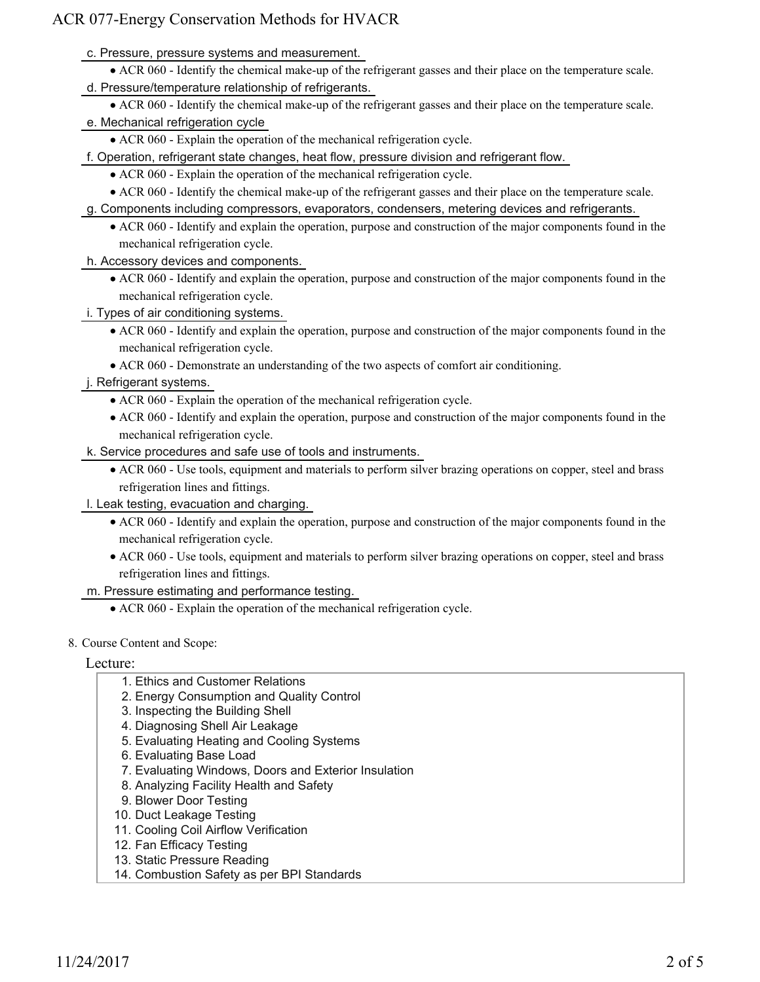c. Pressure, pressure systems and measurement.

- ACR 060 Identify the chemical make-up of the refrigerant gasses and their place on the temperature scale.
- d. Pressure/temperature relationship of refrigerants.
	- ACR 060 Identify the chemical make-up of the refrigerant gasses and their place on the temperature scale.
- e. Mechanical refrigeration cycle
	- ACR 060 Explain the operation of the mechanical refrigeration cycle.
- f. Operation, refrigerant state changes, heat flow, pressure division and refrigerant flow.
	- ACR 060 Explain the operation of the mechanical refrigeration cycle.
	- ACR 060 Identify the chemical make-up of the refrigerant gasses and their place on the temperature scale.
- g. Components including compressors, evaporators, condensers, metering devices and refrigerants.
	- ACR 060 Identify and explain the operation, purpose and construction of the major components found in the mechanical refrigeration cycle.
- h. Accessory devices and components.
	- ACR 060 Identify and explain the operation, purpose and construction of the major components found in the mechanical refrigeration cycle.
- i. Types of air conditioning systems.
	- ACR 060 Identify and explain the operation, purpose and construction of the major components found in the mechanical refrigeration cycle.
	- ACR 060 Demonstrate an understanding of the two aspects of comfort air conditioning.
- j. Refrigerant systems.
	- ACR 060 Explain the operation of the mechanical refrigeration cycle.
	- ACR 060 Identify and explain the operation, purpose and construction of the major components found in the mechanical refrigeration cycle.
- k. Service procedures and safe use of tools and instruments.
	- ACR 060 Use tools, equipment and materials to perform silver brazing operations on copper, steel and brass refrigeration lines and fittings.
- l. Leak testing, evacuation and charging.
	- ACR 060 Identify and explain the operation, purpose and construction of the major components found in the mechanical refrigeration cycle.
	- ACR 060 Use tools, equipment and materials to perform silver brazing operations on copper, steel and brass refrigeration lines and fittings.
- m. Pressure estimating and performance testing.
	- ACR 060 Explain the operation of the mechanical refrigeration cycle.
- 8. Course Content and Scope:

#### Lecture:

- 1. Ethics and Customer Relations
- 2. Energy Consumption and Quality Control
- 3. Inspecting the Building Shell
- 4. Diagnosing Shell Air Leakage
- 5. Evaluating Heating and Cooling Systems
- 6. Evaluating Base Load
- 7. Evaluating Windows, Doors and Exterior Insulation
- 8. Analyzing Facility Health and Safety
- 9. Blower Door Testing
- 10. Duct Leakage Testing
- 11. Cooling Coil Airflow Verification
- 12. Fan Efficacy Testing
- 13. Static Pressure Reading
- 14. Combustion Safety as per BPI Standards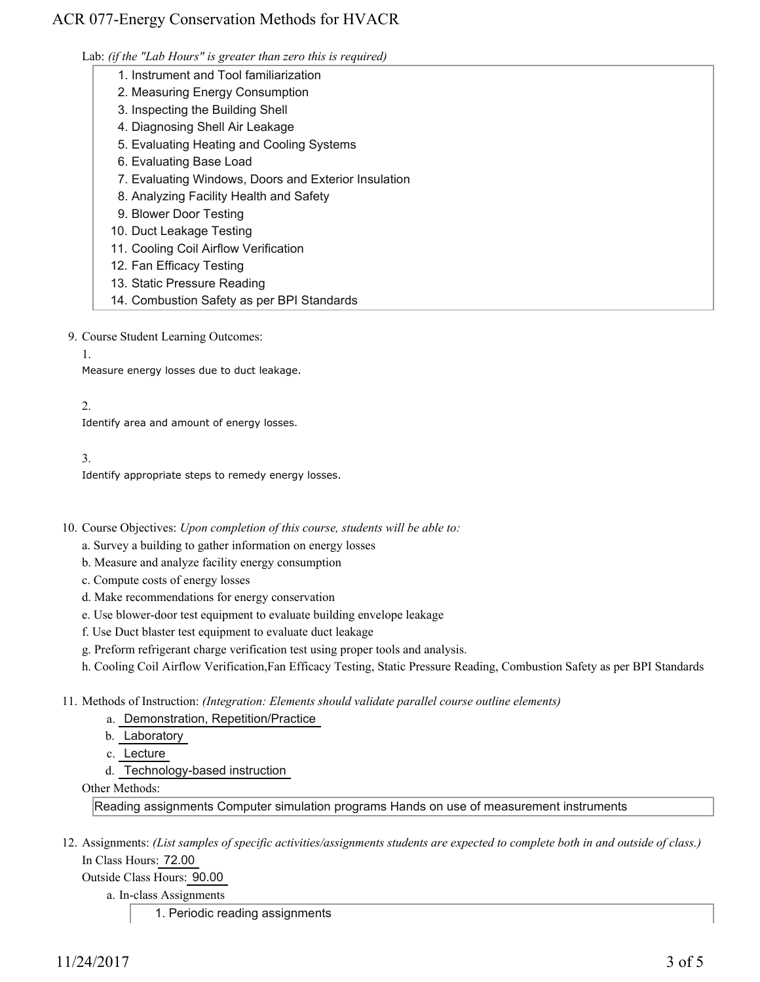Lab: *(if the "Lab Hours" is greater than zero this is required)*

- 1. Instrument and Tool familiarization
- 2. Measuring Energy Consumption
- 3. Inspecting the Building Shell
- 4. Diagnosing Shell Air Leakage
- 5. Evaluating Heating and Cooling Systems
- 6. Evaluating Base Load
- 7. Evaluating Windows, Doors and Exterior Insulation
- 8. Analyzing Facility Health and Safety
- 9. Blower Door Testing
- 10. Duct Leakage Testing
- 11. Cooling Coil Airflow Verification
- 12. Fan Efficacy Testing
- 13. Static Pressure Reading
- 14. Combustion Safety as per BPI Standards

9. Course Student Learning Outcomes:

1.

Measure energy losses due to duct leakage.

### 2.

Identify area and amount of energy losses.

### 3.

Identify appropriate steps to remedy energy losses.

10. Course Objectives: Upon completion of this course, students will be able to:

- a. Survey a building to gather information on energy losses
- b. Measure and analyze facility energy consumption
- c. Compute costs of energy losses
- d. Make recommendations for energy conservation
- e. Use blower-door test equipment to evaluate building envelope leakage
- f. Use Duct blaster test equipment to evaluate duct leakage
- g. Preform refrigerant charge verification test using proper tools and analysis.
- h. Cooling Coil Airflow Verification,Fan Efficacy Testing, Static Pressure Reading, Combustion Safety as per BPI Standards

Methods of Instruction: *(Integration: Elements should validate parallel course outline elements)* 11.

- a. Demonstration, Repetition/Practice
- b. Laboratory
- c. Lecture
- d. Technology-based instruction

Other Methods:

Reading assignments Computer simulation programs Hands on use of measurement instruments

12. Assignments: (List samples of specific activities/assignments students are expected to complete both in and outside of class.) In Class Hours: 72.00

Outside Class Hours: 90.00

a. In-class Assignments

1. Periodic reading assignments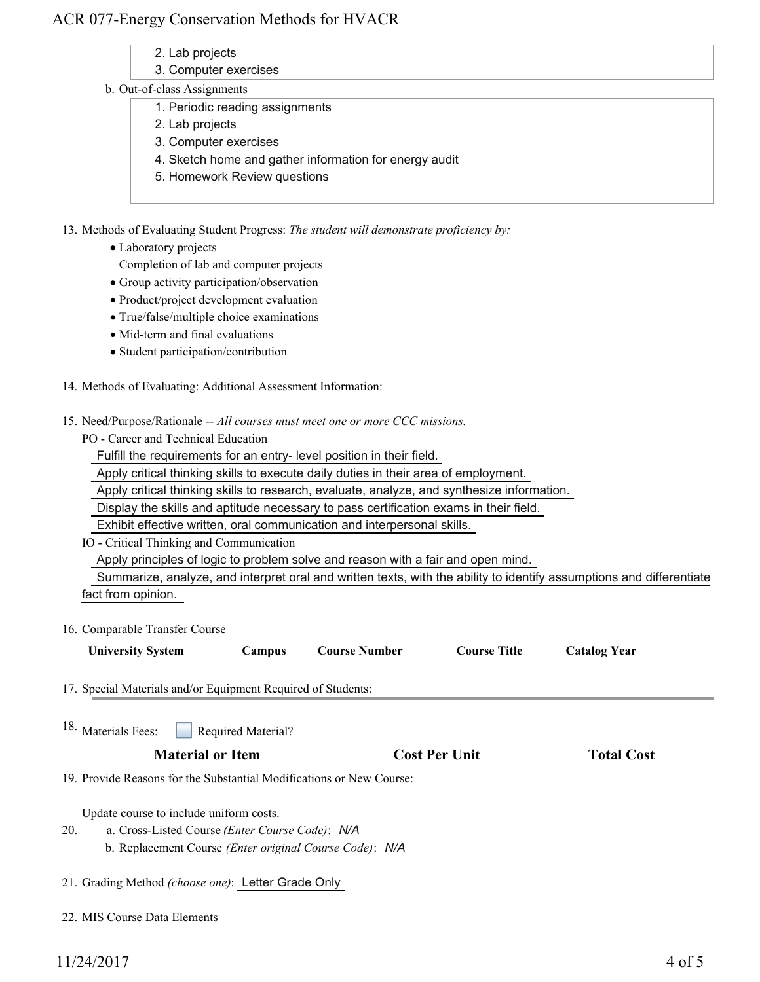- 2. Lab projects
- 3. Computer exercises

#### b. Out-of-class Assignments

- 1. Periodic reading assignments
- 2. Lab projects
- 3. Computer exercises
- 4. Sketch home and gather information for energy audit
- 5. Homework Review questions

13. Methods of Evaluating Student Progress: The student will demonstrate proficiency by:

• Laboratory projects

Completion of lab and computer projects

- Group activity participation/observation
- Product/project development evaluation
- True/false/multiple choice examinations
- $\bullet$  Mid-term and final evaluations
- Student participation/contribution
- 14. Methods of Evaluating: Additional Assessment Information:
- 15. Need/Purpose/Rationale -- All courses must meet one or more CCC missions.

PO - Career and Technical Education

Fulfill the requirements for an entry- level position in their field.

Apply critical thinking skills to execute daily duties in their area of employment.

Apply critical thinking skills to research, evaluate, analyze, and synthesize information.

Display the skills and aptitude necessary to pass certification exams in their field.

Exhibit effective written, oral communication and interpersonal skills.

IO - Critical Thinking and Communication

Apply principles of logic to problem solve and reason with a fair and open mind.

 Summarize, analyze, and interpret oral and written texts, with the ability to identify assumptions and differentiate fact from opinion.

16. Comparable Transfer Course

| <b>Course Title</b><br><b>University System</b><br>Course Number<br>Campus | <b>Catalog Year</b> |
|----------------------------------------------------------------------------|---------------------|
|----------------------------------------------------------------------------|---------------------|

- 17. Special Materials and/or Equipment Required of Students:
- Required Material? 18. Materials Fees:

#### **Material or Item Cost Per Unit Total Cost**

19. Provide Reasons for the Substantial Modifications or New Course:

Update course to include uniform costs.

- a. Cross-Listed Course *(Enter Course Code)*: *N/A* b. Replacement Course *(Enter original Course Code)*: *N/A* 20.
- 21. Grading Method *(choose one)*: Letter Grade Only
- 22. MIS Course Data Elements